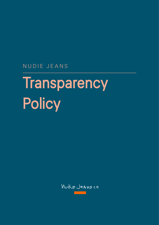NUDIE JEANS

# **Transparency Policy**

Mudio JeAnsco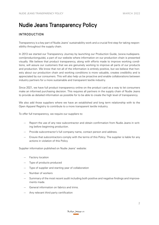## Nudie Jeans Transparency Policy

### INTRODUCTION

Transparency is a key part of Nudie Jeans' sustainability work and a crucial first step for taking responsibility throughout the supply chain.

In 2013 we started our Transparency Journey by launching our Production Guide, (www.nudiejeans. com/productionguide), a part of our website where information on our production chain is presented visually. We believe that product transparency, along with efforts made to improve working conditions, will assure our customers that we are genuinely working to improve all parts of our products and production. We know that not all of the information is entirely positive, but we believe that honesty about our production chain and working conditions is more valuable, creates credibility and is appreciated by our consumers. This will also help us be proactive and enable collaborations between industry partners for a more sustainable and transparent textile industry.

Since 2021, we have full product transparency online on the product card as a way to let consumers make an informed purchasing decision. This requires all partners in the supply chain of Nudie Jeans to provide as detailed information as possible for to be able to create the high level of transparency.

We also add those suppliers where we have an established and long term relationship with to the Open Apparel Registry to contribute to a more transparent textile industry.

To offer full transparency, we require our suppliers to:

- Report the use of any new subcontractor and obtain confirmation from Nudie Jeans in writing before beginning production.
- Provide subcontractor's full company name, contact person and address.
- Ensure that subcontractors comply with the terms of this Policy. The supplier is liable for any actions in violation of this Policy

Supplier information published on Nudie Jeans' website:

- Factory location
- Type of products produced
- Type of supplier and starting year of collaboration
- Number of workers
- Summary of the most recent audit including both positive and negative findings and improvements made.
- General information on fabrics and trims.
- Any relevant third party certification

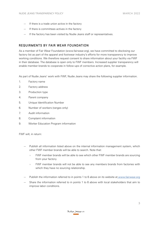- If there is a trade union active in the factory
- If there is committees actives in the factory
- If the factory has been visited by Nudie Jeans staff or representatives.

#### REQUIRMENTS BY FAIR WEAR FOUNDATION

As a member of Fair Wear Foundation (www.fairwear.org), we have committed to disclosing our factory list as part of the apparel and footwear industry's efforts for more transparency to improve working conditions. We therefore request consent to share information about your facility via FWF in their database. The database is open only to FWF members. Increased supplier transparency will enable member brands to cooperate in follow-ups of corrective action plans, for example.

As part of Nudie Jeans' work with FWF, Nudie Jeans may share the following supplier information.

- 1. Factory name
- 2. Factory address
- 3. Production type
- 4. Parent company
- 5. Unique Identification Number
- 6. Number of workers (ranges only)
- 7. Audit information
- 8. Complaint information
- 9. Worker Education Program information

FWF will, in return:

- Publish all information listed above on the internal information management system, which other FWF member brands will be able to search. Note that:
	- › FWF member brands will be able to see which other FWF member brands are sourcing from your factory.
	- › FWF member brands will not be able to see any members brands from factories with which they have no sourcing relationship.
- Publish the information referred to in points 1 to 6 above on its website a[t www.fairwear.org](https://www.fairwear.org/)
- Share the information referred to in points 1 to 6 above with local stakeholders that aim to improve labor conditions.